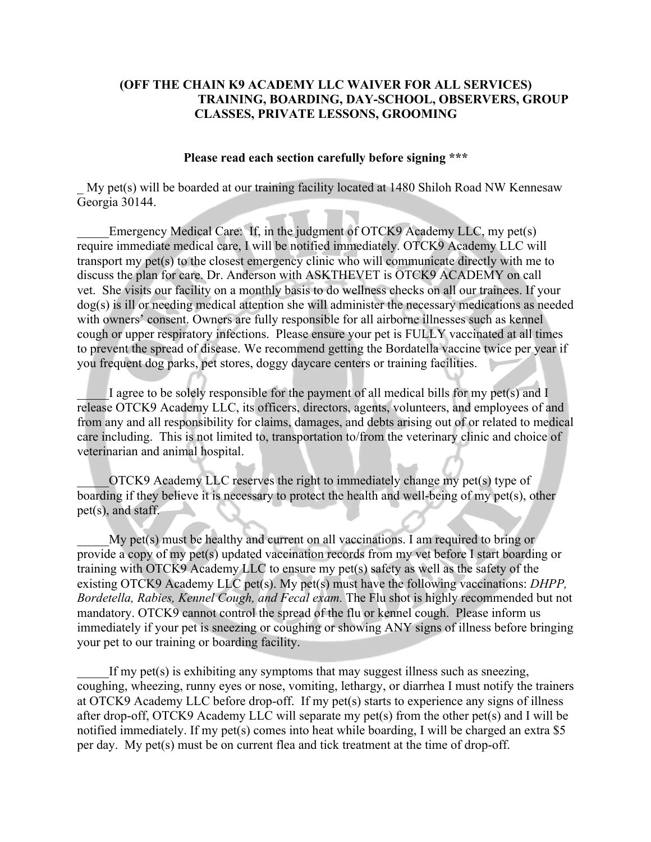## **(OFF THE CHAIN K9 ACADEMY LLC WAIVER FOR ALL SERVICES) TRAINING, BOARDING, DAY-SCHOOL, OBSERVERS, GROUP CLASSES, PRIVATE LESSONS, GROOMING**

## **Please read each section carefully before signing \*\*\***

My pet(s) will be boarded at our training facility located at 1480 Shiloh Road NW Kennesaw Georgia 30144.

Emergency Medical Care: If, in the judgment of OTCK9 Academy LLC, my pet(s) require immediate medical care, I will be notified immediately. OTCK9 Academy LLC will transport my pet(s) to the closest emergency clinic who will communicate directly with me to discuss the plan for care. Dr. Anderson with ASKTHEVET is OTCK9 ACADEMY on call vet. She visits our facility on a monthly basis to do wellness checks on all our trainees. If your dog(s) is ill or needing medical attention she will administer the necessary medications as needed with owners' consent. Owners are fully responsible for all airborne illnesses such as kennel cough or upper respiratory infections. Please ensure your pet is FULLY vaccinated at all times to prevent the spread of disease. We recommend getting the Bordatella vaccine twice per year if you frequent dog parks, pet stores, doggy daycare centers or training facilities.

I agree to be solely responsible for the payment of all medical bills for my pet(s) and I release OTCK9 Academy LLC, its officers, directors, agents, volunteers, and employees of and from any and all responsibility for claims, damages, and debts arising out of or related to medical care including. This is not limited to, transportation to/from the veterinary clinic and choice of veterinarian and animal hospital.

\_\_\_\_\_OTCK9 Academy LLC reserves the right to immediately change my pet(s) type of boarding if they believe it is necessary to protect the health and well-being of my pet(s), other pet(s), and staff.

My pet(s) must be healthy and current on all vaccinations. I am required to bring or provide a copy of my pet(s) updated vaccination records from my vet before I start boarding or training with OTCK9 Academy LLC to ensure my pet(s) safety as well as the safety of the existing OTCK9 Academy LLC pet(s). My pet(s) must have the following vaccinations: *DHPP, Bordetella, Rabies, Kennel Cough, and Fecal exam.* The Flu shot is highly recommended but not mandatory. OTCK9 cannot control the spread of the flu or kennel cough. Please inform us immediately if your pet is sneezing or coughing or showing ANY signs of illness before bringing your pet to our training or boarding facility.

If my pet(s) is exhibiting any symptoms that may suggest illness such as sneezing, coughing, wheezing, runny eyes or nose, vomiting, lethargy, or diarrhea I must notify the trainers at OTCK9 Academy LLC before drop-off. If my pet(s) starts to experience any signs of illness after drop-off, OTCK9 Academy LLC will separate my pet(s) from the other pet(s) and I will be notified immediately. If my pet(s) comes into heat while boarding, I will be charged an extra \$5 per day. My pet(s) must be on current flea and tick treatment at the time of drop-off.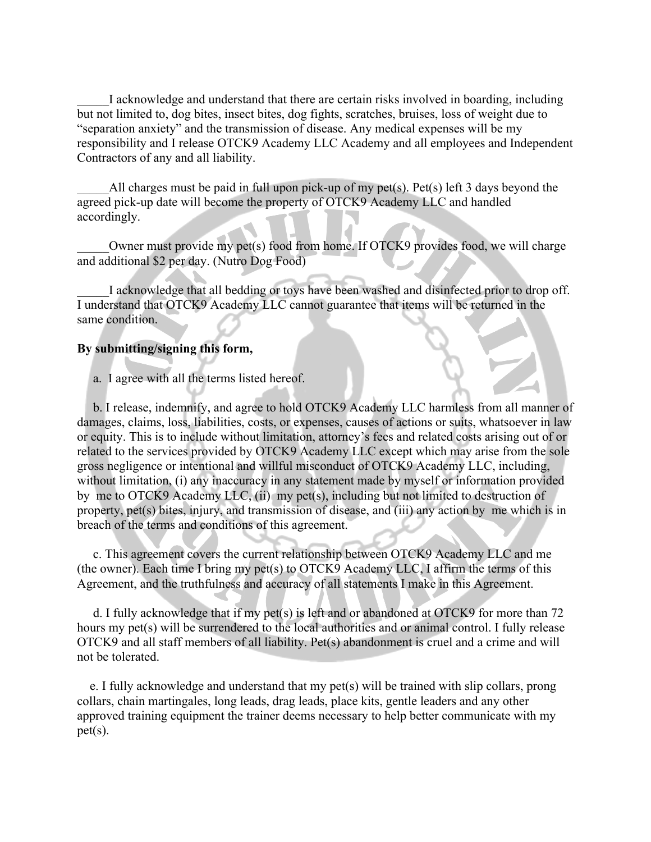I acknowledge and understand that there are certain risks involved in boarding, including but not limited to, dog bites, insect bites, dog fights, scratches, bruises, loss of weight due to "separation anxiety" and the transmission of disease. Any medical expenses will be my responsibility and I release OTCK9 Academy LLC Academy and all employees and Independent Contractors of any and all liability.

All charges must be paid in full upon pick-up of my pet(s). Pet(s) left 3 days beyond the agreed pick-up date will become the property of OTCK9 Academy LLC and handled accordingly.

Owner must provide my pet(s) food from home. If OTCK9 provides food, we will charge and additional \$2 per day. (Nutro Dog Food)

I acknowledge that all bedding or toys have been washed and disinfected prior to drop off. I understand that OTCK9 Academy LLC cannot guarantee that items will be returned in the same condition.

## **By submitting/signing this form,**

a. I agree with all the terms listed hereof.

 b. I release, indemnify, and agree to hold OTCK9 Academy LLC harmless from all manner of damages, claims, loss, liabilities, costs, or expenses, causes of actions or suits, whatsoever in law or equity. This is to include without limitation, attorney's fees and related costs arising out of or related to the services provided by OTCK9 Academy LLC except which may arise from the sole gross negligence or intentional and willful misconduct of OTCK9 Academy LLC, including, without limitation, (i) any inaccuracy in any statement made by myself or information provided by me to OTCK9 Academy LLC, (ii) my pet(s), including but not limited to destruction of property, pet(s) bites, injury, and transmission of disease, and (iii) any action by me which is in breach of the terms and conditions of this agreement.

 c. This agreement covers the current relationship between OTCK9 Academy LLC and me (the owner). Each time I bring my pet(s) to OTCK9 Academy LLC, I affirm the terms of this Agreement, and the truthfulness and accuracy of all statements I make in this Agreement.

 d. I fully acknowledge that if my pet(s) is left and or abandoned at OTCK9 for more than 72 hours my pet(s) will be surrendered to the local authorities and or animal control. I fully release OTCK9 and all staff members of all liability. Pet(s) abandonment is cruel and a crime and will not be tolerated.

 e. I fully acknowledge and understand that my pet(s) will be trained with slip collars, prong collars, chain martingales, long leads, drag leads, place kits, gentle leaders and any other approved training equipment the trainer deems necessary to help better communicate with my pet(s).